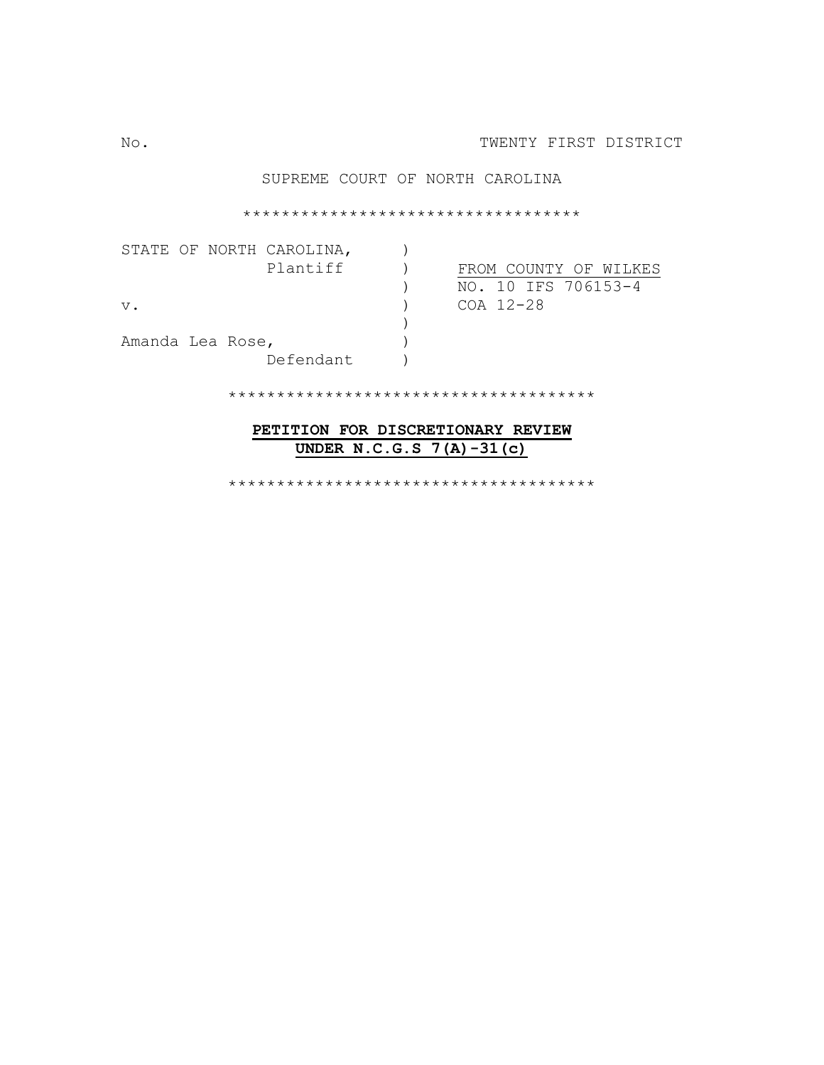### SUPREME COURT OF NORTH CAROLINA

\*\*\*\*\*\*\*\*\*\*\*\*\*\*\*\*\*\*\*\*\*\*\*\*\*\*\*\*\*\*\*\*\*\*\*

|                  |  | STATE OF NORTH CAROLINA, |  |                     |  |  |                       |  |
|------------------|--|--------------------------|--|---------------------|--|--|-----------------------|--|
|                  |  | Plantiff                 |  |                     |  |  | FROM COUNTY OF WILKES |  |
|                  |  |                          |  | NO. 10 IFS 706153-4 |  |  |                       |  |
| $V$ .            |  |                          |  | COA 12-28           |  |  |                       |  |
|                  |  |                          |  |                     |  |  |                       |  |
| Amanda Lea Rose, |  |                          |  |                     |  |  |                       |  |
|                  |  | Defendant                |  |                     |  |  |                       |  |

\*\*\*\*\*\*\*\*\*\*\*\*\*\*\*\*\*\*\*\*\*\*\*\*\*\*\*\*\*\*\*\*\*\*\*\*\*\*

## **PETITION FOR DISCRETIONARY REVIEW UNDER N.C.G.S 7(A)-31(c)**

\*\*\*\*\*\*\*\*\*\*\*\*\*\*\*\*\*\*\*\*\*\*\*\*\*\*\*\*\*\*\*\*\*\*\*\*\*\*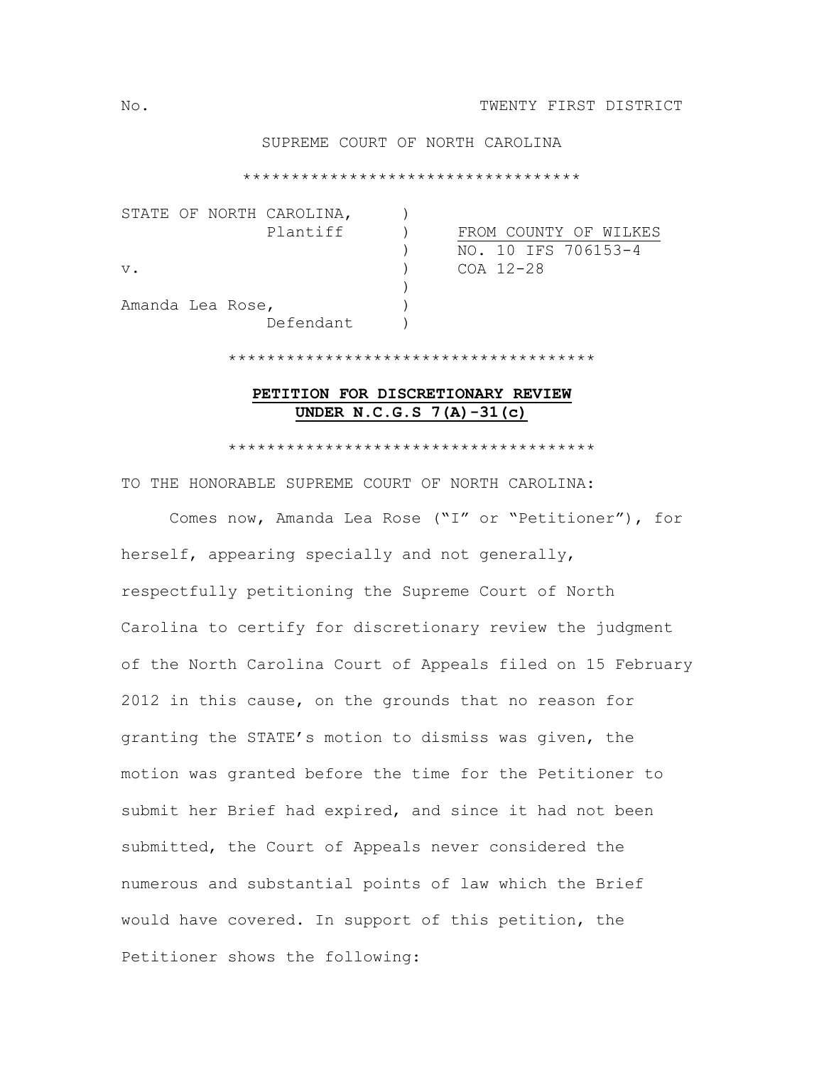## SUPREME COURT OF NORTH CAROLINA

\*\*\*\*\*\*\*\*\*\*\*\*\*\*\*\*\*\*\*\*\*\*\*\*\*\*\*\*\*\*\*\*\*\*\*

|       |                  | STATE OF NORTH CAROLINA, |  |                       |
|-------|------------------|--------------------------|--|-----------------------|
|       |                  | Plantiff                 |  | FROM COUNTY OF WILKES |
|       |                  |                          |  | NO. 10 IFS 706153-4   |
| $V$ . |                  |                          |  | COA 12-28             |
|       |                  |                          |  |                       |
|       | Amanda Lea Rose, |                          |  |                       |
|       |                  | Defendant                |  |                       |

# **PETITION FOR DISCRETIONARY REVIEW UNDER N.C.G.S 7(A)-31(c)**

\*\*\*\*\*\*\*\*\*\*\*\*\*\*\*\*\*\*\*\*\*\*\*\*\*\*\*\*\*\*\*\*\*\*\*\*\*\*

\*\*\*\*\*\*\*\*\*\*\*\*\*\*\*\*\*\*\*\*\*\*\*\*\*\*\*\*\*\*\*\*\*\*\*\*\*\*

TO THE HONORABLE SUPREME COURT OF NORTH CAROLINA:

 Comes now, Amanda Lea Rose ("I" or "Petitioner"), for herself, appearing specially and not generally, respectfully petitioning the Supreme Court of North Carolina to certify for discretionary review the judgment of the North Carolina Court of Appeals filed on 15 February 2012 in this cause, on the grounds that no reason for granting the STATE's motion to dismiss was given, the motion was granted before the time for the Petitioner to submit her Brief had expired, and since it had not been submitted, the Court of Appeals never considered the numerous and substantial points of law which the Brief would have covered. In support of this petition, the Petitioner shows the following: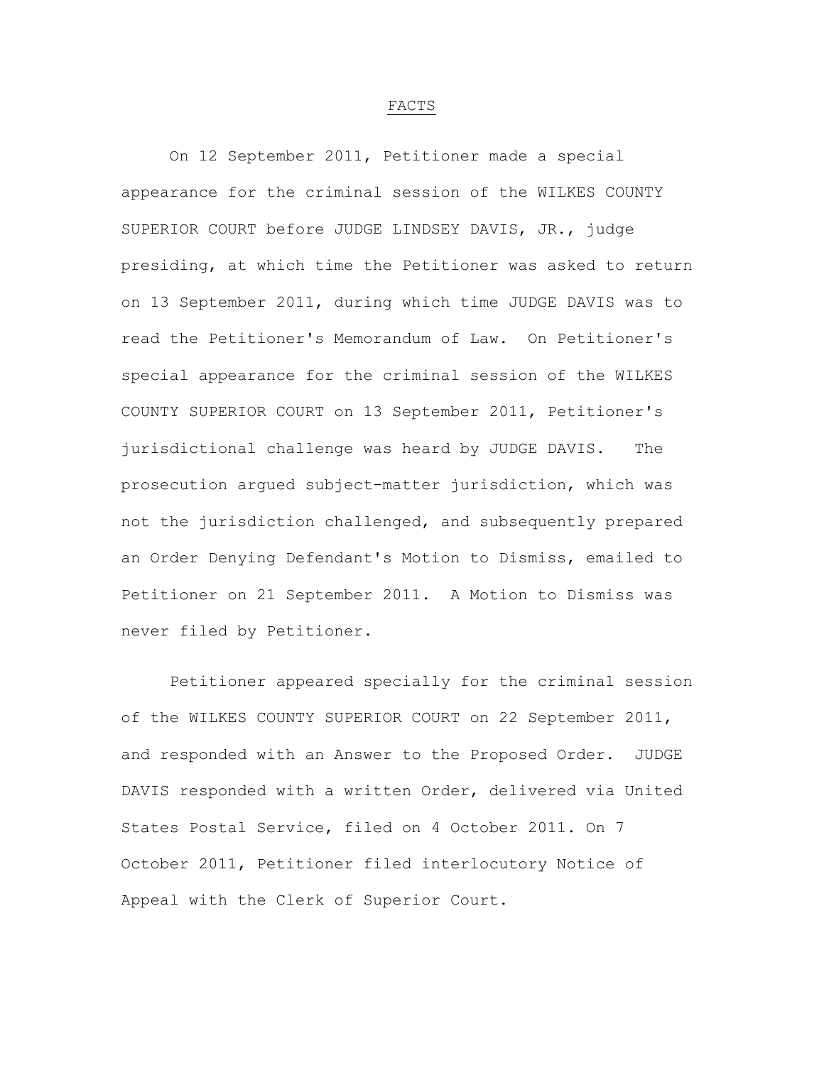#### FACTS

 On 12 September 2011, Petitioner made a special appearance for the criminal session of the WILKES COUNTY SUPERIOR COURT before JUDGE LINDSEY DAVIS, JR., judge presiding, at which time the Petitioner was asked to return on 13 September 2011, during which time JUDGE DAVIS was to read the Petitioner's Memorandum of Law. On Petitioner's special appearance for the criminal session of the WILKES COUNTY SUPERIOR COURT on 13 September 2011, Petitioner's jurisdictional challenge was heard by JUDGE DAVIS. The prosecution argued subject-matter jurisdiction, which was not the jurisdiction challenged, and subsequently prepared an Order Denying Defendant's Motion to Dismiss, emailed to Petitioner on 21 September 2011. A Motion to Dismiss was never filed by Petitioner.

 Petitioner appeared specially for the criminal session of the WILKES COUNTY SUPERIOR COURT on 22 September 2011, and responded with an Answer to the Proposed Order. JUDGE DAVIS responded with a written Order, delivered via United States Postal Service, filed on 4 October 2011. On 7 October 2011, Petitioner filed interlocutory Notice of Appeal with the Clerk of Superior Court.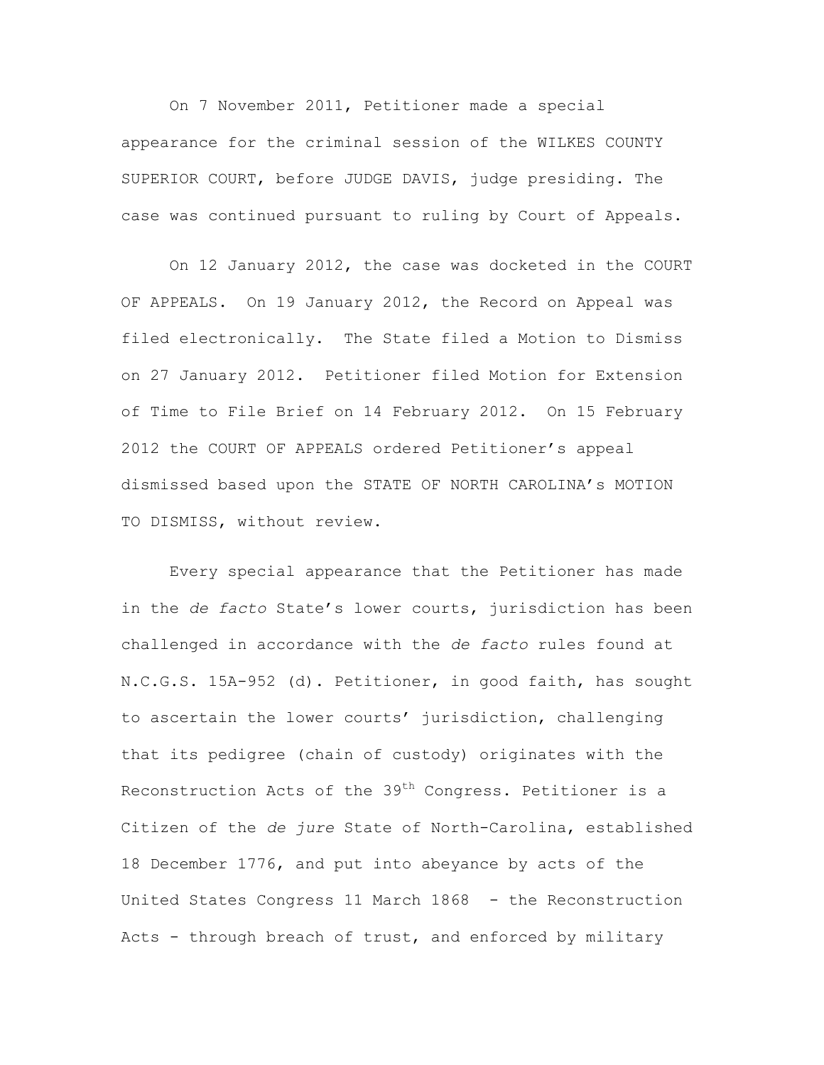On 7 November 2011, Petitioner made a special appearance for the criminal session of the WILKES COUNTY SUPERIOR COURT, before JUDGE DAVIS, judge presiding. The case was continued pursuant to ruling by Court of Appeals.

 On 12 January 2012, the case was docketed in the COURT OF APPEALS. On 19 January 2012, the Record on Appeal was filed electronically. The State filed a Motion to Dismiss on 27 January 2012. Petitioner filed Motion for Extension of Time to File Brief on 14 February 2012. On 15 February 2012 the COURT OF APPEALS ordered Petitioner's appeal dismissed based upon the STATE OF NORTH CAROLINA's MOTION TO DISMISS, without review.

 Every special appearance that the Petitioner has made in the *de facto* State's lower courts, jurisdiction has been challenged in accordance with the *de facto* rules found at N.C.G.S. 15A-952 (d). Petitioner, in good faith, has sought to ascertain the lower courts' jurisdiction, challenging that its pedigree (chain of custody) originates with the Reconstruction Acts of the 39<sup>th</sup> Congress. Petitioner is a Citizen of the *de jure* State of North-Carolina, established 18 December 1776, and put into abeyance by acts of the United States Congress 11 March 1868 - the Reconstruction Acts - through breach of trust, and enforced by military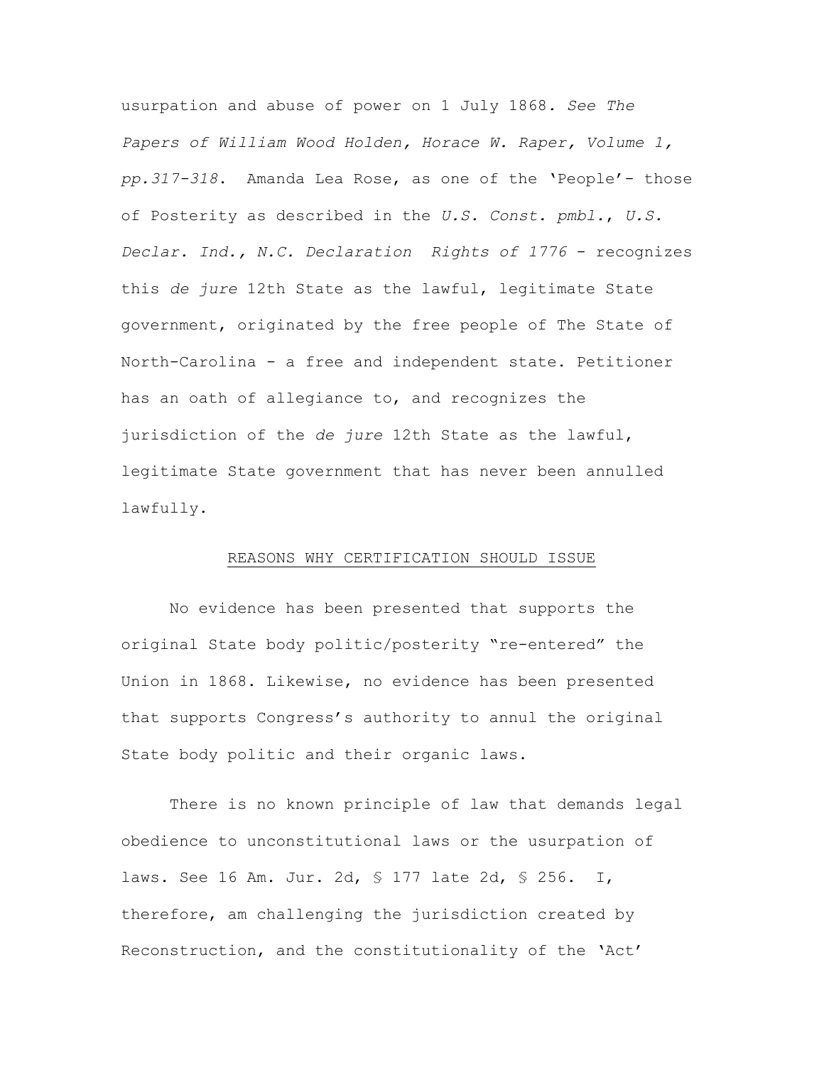usurpation and abuse of power on 1 July 1868*. See The Papers of William Wood Holden, Horace W. Raper, Volume 1, pp.317-318*. Amanda Lea Rose, as one of the 'People'- those of Posterity as described in the *U.S. Const. pmbl.*, *U.S. Declar. Ind., N.C. Declaration Rights of 1776* - recognizes this *de jure* 12th State as the lawful, legitimate State government, originated by the free people of The State of North-Carolina - a free and independent state. Petitioner has an oath of allegiance to, and recognizes the jurisdiction of the *de jure* 12th State as the lawful, legitimate State government that has never been annulled lawfully.

#### REASONS WHY CERTIFICATION SHOULD ISSUE

 No evidence has been presented that supports the original State body politic/posterity "re-entered" the Union in 1868. Likewise, no evidence has been presented that supports Congress's authority to annul the original State body politic and their organic laws.

 There is no known principle of law that demands legal obedience to unconstitutional laws or the usurpation of laws. See 16 Am. Jur. 2d, § 177 late 2d, § 256. I, therefore, am challenging the jurisdiction created by Reconstruction, and the constitutionality of the 'Act'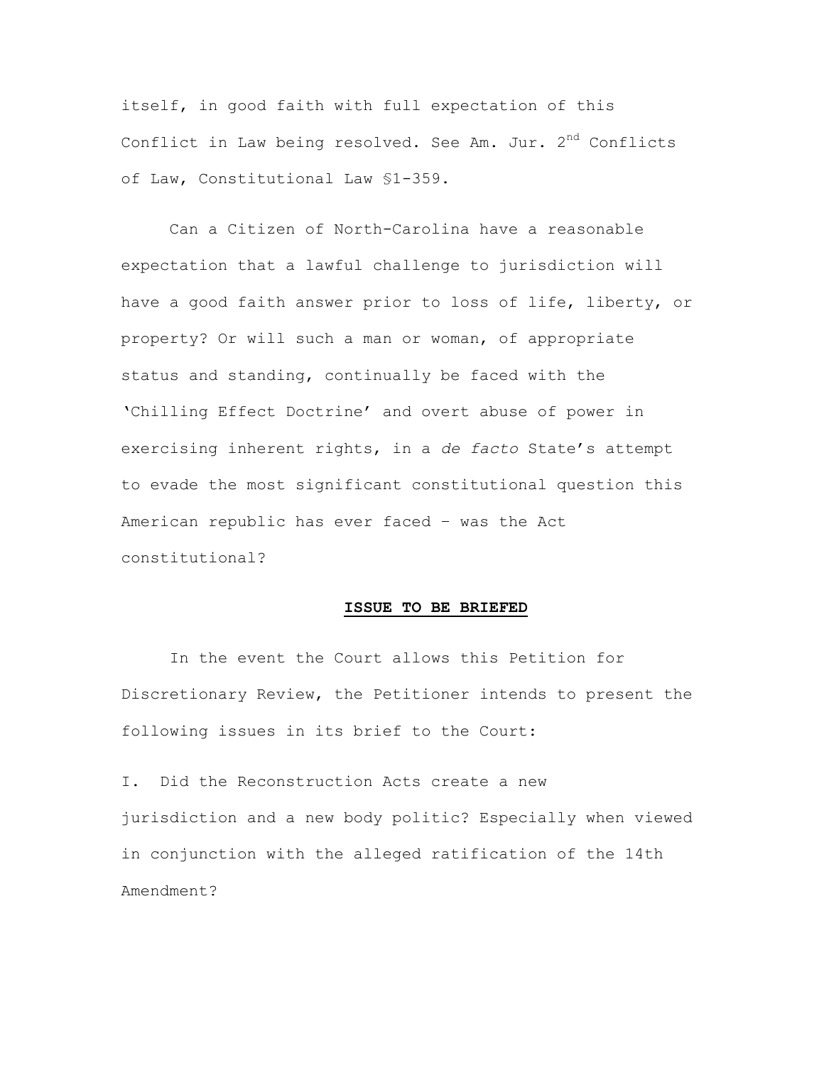itself, in good faith with full expectation of this Conflict in Law being resolved. See Am. Jur. 2<sup>nd</sup> Conflicts of Law, Constitutional Law §1-359.

Can a Citizen of North-Carolina have a reasonable expectation that a lawful challenge to jurisdiction will have a good faith answer prior to loss of life, liberty, or property? Or will such a man or woman, of appropriate status and standing, continually be faced with the 'Chilling Effect Doctrine' and overt abuse of power in exercising inherent rights, in a *de facto* State's attempt to evade the most significant constitutional question this American republic has ever faced – was the Act constitutional?

#### **ISSUE TO BE BRIEFED**

In the event the Court allows this Petition for Discretionary Review, the Petitioner intends to present the following issues in its brief to the Court:

I. Did the Reconstruction Acts create a new jurisdiction and a new body politic? Especially when viewed in conjunction with the alleged ratification of the 14th Amendment?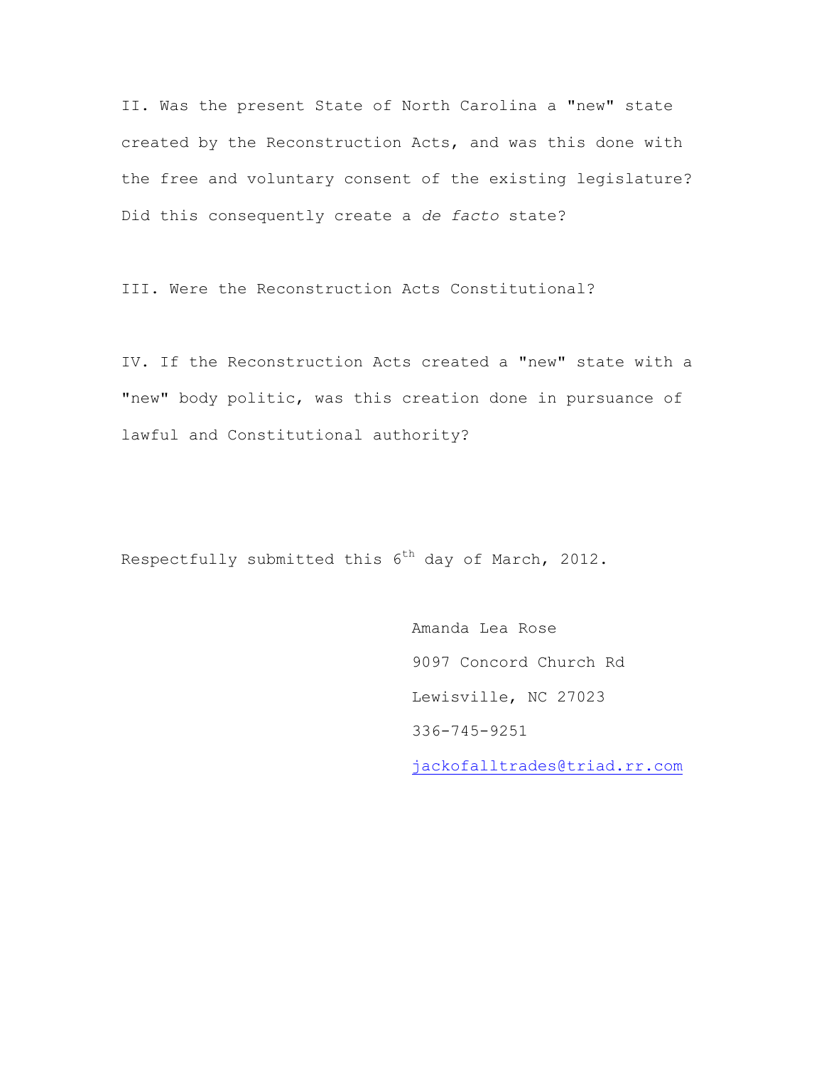II. Was the present State of North Carolina a "new" state created by the Reconstruction Acts, and was this done with the free and voluntary consent of the existing legislature? Did this consequently create a *de facto* state?

III. Were the Reconstruction Acts Constitutional?

IV. If the Reconstruction Acts created a "new" state with a "new" body politic, was this creation done in pursuance of lawful and Constitutional authority?

Respectfully submitted this  $6<sup>th</sup>$  day of March, 2012.

Amanda Lea Rose 9097 Concord Church Rd Lewisville, NC 27023 336-745-9251

jackofalltrades@triad.rr.com